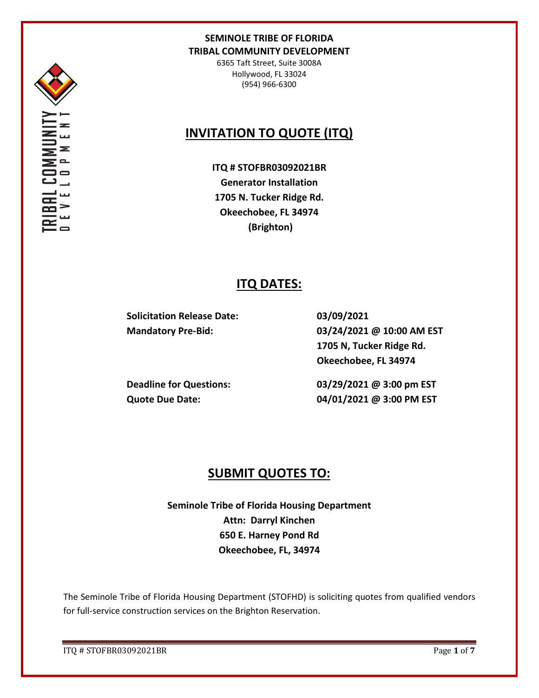

6365 Taft Street, Suite 3008A Hollywood, FL 33024 (954) 966-6300

# **INVITATION TO QUOTE (ITQ)**

**ITQ # STOFBR03092021BR Generator Installation 1705 N. Tucker Ridge Rd. Okeechobee, FL 34974 (Brighton)**

# **ITQ DATES:**

**Solicitation Release Date: 03/09/2021**

**Mandatory Pre-Bid: 03/24/2021 @ 10:00 AM EST 1705 N, Tucker Ridge Rd. Okeechobee, FL 34974**

**Deadline for Questions: 03/29/2021 @ 3:00 pm EST Quote Due Date: 04/01/2021 @ 3:00 PM EST**

# **SUBMIT QUOTES TO:**

**Seminole Tribe of Florida Housing Department Attn: Darryl Kinchen 650 E. Harney Pond Rd Okeechobee, FL, 34974**

The Seminole Tribe of Florida Housing Department (STOFHD) is soliciting quotes from qualified vendors for full-service construction services on the Brighton Reservation.

ITQ # STOFBR03092021BR Page **1** of **7**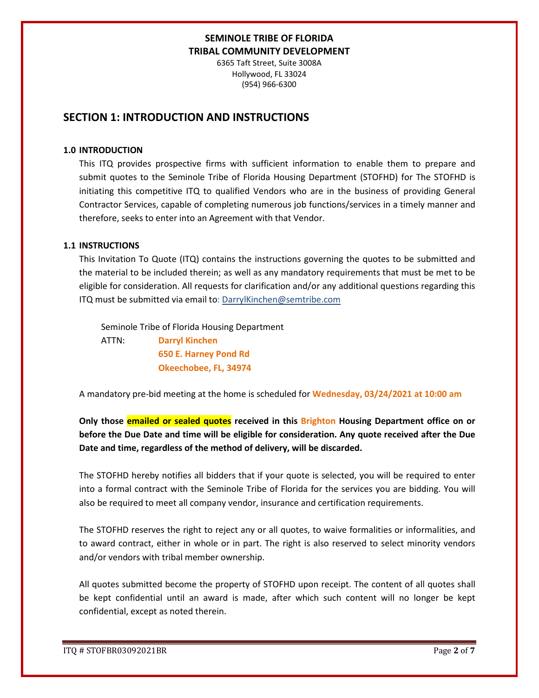6365 Taft Street, Suite 3008A Hollywood, FL 33024 (954) 966-6300

## **SECTION 1: INTRODUCTION AND INSTRUCTIONS**

#### **1.0 INTRODUCTION**

This ITQ provides prospective firms with sufficient information to enable them to prepare and submit quotes to the Seminole Tribe of Florida Housing Department (STOFHD) for The STOFHD is initiating this competitive ITQ to qualified Vendors who are in the business of providing General Contractor Services, capable of completing numerous job functions/services in a timely manner and therefore, seeks to enter into an Agreement with that Vendor.

#### **1.1 INSTRUCTIONS**

This Invitation To Quote (ITQ) contains the instructions governing the quotes to be submitted and the material to be included therein; as well as any mandatory requirements that must be met to be eligible for consideration. All requests for clarification and/or any additional questions regarding this ITQ must be submitted via email to: DarrylKinchen@semtribe.com

 Seminole Tribe of Florida Housing Department ATTN: **Darryl Kinchen**

> **650 E. Harney Pond Rd Okeechobee, FL, 34974**

A mandatory pre-bid meeting at the home is scheduled for **Wednesday, 03/24/2021 at 10:00 am**

**Only those emailed or sealed quotes received in this Brighton Housing Department office on or before the Due Date and time will be eligible for consideration. Any quote received after the Due Date and time, regardless of the method of delivery, will be discarded.** 

The STOFHD hereby notifies all bidders that if your quote is selected, you will be required to enter into a formal contract with the Seminole Tribe of Florida for the services you are bidding. You will also be required to meet all company vendor, insurance and certification requirements.

The STOFHD reserves the right to reject any or all quotes, to waive formalities or informalities, and to award contract, either in whole or in part. The right is also reserved to select minority vendors and/or vendors with tribal member ownership.

All quotes submitted become the property of STOFHD upon receipt. The content of all quotes shall be kept confidential until an award is made, after which such content will no longer be kept confidential, except as noted therein.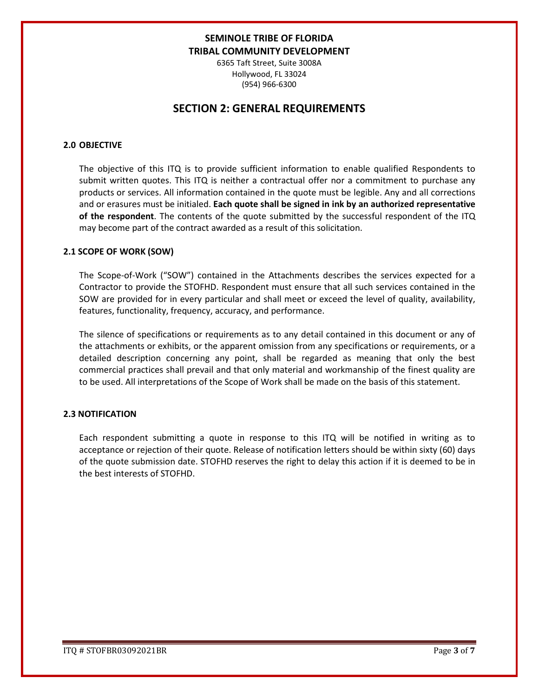6365 Taft Street, Suite 3008A Hollywood, FL 33024 (954) 966-6300

## **SECTION 2: GENERAL REQUIREMENTS**

#### **2.0 OBJECTIVE**

The objective of this ITQ is to provide sufficient information to enable qualified Respondents to submit written quotes. This ITQ is neither a contractual offer nor a commitment to purchase any products or services. All information contained in the quote must be legible. Any and all corrections and or erasures must be initialed. **Each quote shall be signed in ink by an authorized representative of the respondent**. The contents of the quote submitted by the successful respondent of the ITQ may become part of the contract awarded as a result of this solicitation.

#### **2.1 SCOPE OF WORK (SOW)**

The Scope-of-Work ("SOW") contained in the Attachments describes the services expected for a Contractor to provide the STOFHD. Respondent must ensure that all such services contained in the SOW are provided for in every particular and shall meet or exceed the level of quality, availability, features, functionality, frequency, accuracy, and performance.

The silence of specifications or requirements as to any detail contained in this document or any of the attachments or exhibits, or the apparent omission from any specifications or requirements, or a detailed description concerning any point, shall be regarded as meaning that only the best commercial practices shall prevail and that only material and workmanship of the finest quality are to be used. All interpretations of the Scope of Work shall be made on the basis of this statement.

#### **2.3 NOTIFICATION**

Each respondent submitting a quote in response to this ITQ will be notified in writing as to acceptance or rejection of their quote. Release of notification letters should be within sixty (60) days of the quote submission date. STOFHD reserves the right to delay this action if it is deemed to be in the best interests of STOFHD.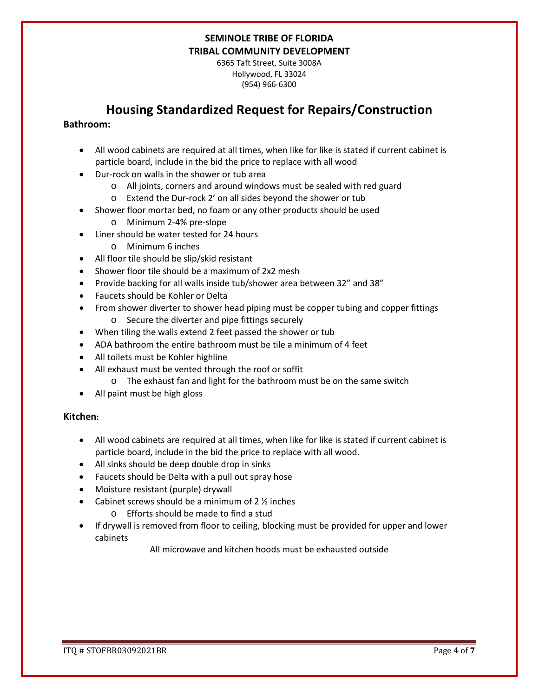6365 Taft Street, Suite 3008A Hollywood, FL 33024 (954) 966-6300

# **Housing Standardized Request for Repairs/Construction**

### **Bathroom:**

- All wood cabinets are required at all times, when like for like is stated if current cabinet is particle board, include in the bid the price to replace with all wood
- Dur-rock on walls in the shower or tub area
	- o All joints, corners and around windows must be sealed with red guard
	- o Extend the Dur-rock 2' on all sides beyond the shower or tub
- Shower floor mortar bed, no foam or any other products should be used
	- o Minimum 2-4% pre-slope
- Liner should be water tested for 24 hours
	- o Minimum 6 inches
- All floor tile should be slip/skid resistant
- Shower floor tile should be a maximum of 2x2 mesh
- Provide backing for all walls inside tub/shower area between 32" and 38"
- Faucets should be Kohler or Delta
- From shower diverter to shower head piping must be copper tubing and copper fittings o Secure the diverter and pipe fittings securely
- When tiling the walls extend 2 feet passed the shower or tub
- ADA bathroom the entire bathroom must be tile a minimum of 4 feet
- All toilets must be Kohler highline
- All exhaust must be vented through the roof or soffit
	- o The exhaust fan and light for the bathroom must be on the same switch
- All paint must be high gloss

### **Kitchen:**

- All wood cabinets are required at all times, when like for like is stated if current cabinet is particle board, include in the bid the price to replace with all wood.
- All sinks should be deep double drop in sinks
- Faucets should be Delta with a pull out spray hose
- Moisture resistant (purple) drywall
- Cabinet screws should be a minimum of  $2 \frac{1}{2}$  inches
	- o Efforts should be made to find a stud
- If drywall is removed from floor to ceiling, blocking must be provided for upper and lower cabinets

All microwave and kitchen hoods must be exhausted outside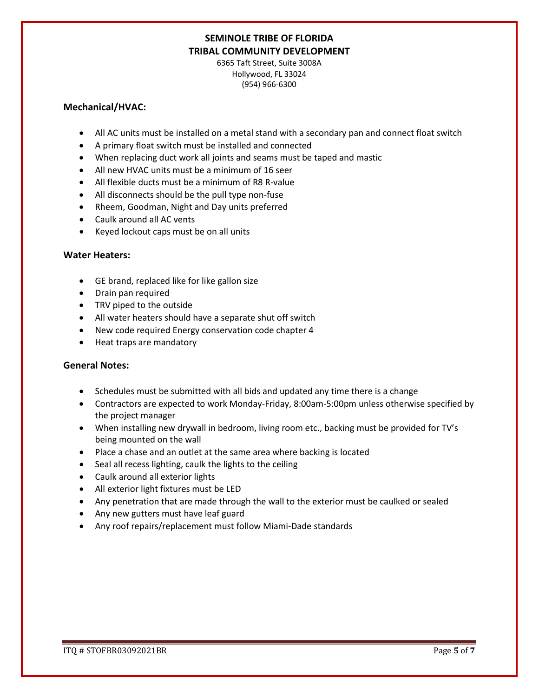6365 Taft Street, Suite 3008A Hollywood, FL 33024 (954) 966-6300

#### **Mechanical/HVAC:**

- All AC units must be installed on a metal stand with a secondary pan and connect float switch
- A primary float switch must be installed and connected
- When replacing duct work all joints and seams must be taped and mastic
- All new HVAC units must be a minimum of 16 seer
- All flexible ducts must be a minimum of R8 R-value
- All disconnects should be the pull type non-fuse
- Rheem, Goodman, Night and Day units preferred
- Caulk around all AC vents
- Keyed lockout caps must be on all units

### **Water Heaters:**

- GE brand, replaced like for like gallon size
- Drain pan required
- TRV piped to the outside
- All water heaters should have a separate shut off switch
- New code required Energy conservation code chapter 4
- Heat traps are mandatory

### **General Notes:**

- Schedules must be submitted with all bids and updated any time there is a change
- Contractors are expected to work Monday-Friday, 8:00am-5:00pm unless otherwise specified by the project manager
- When installing new drywall in bedroom, living room etc., backing must be provided for TV's being mounted on the wall
- Place a chase and an outlet at the same area where backing is located
- Seal all recess lighting, caulk the lights to the ceiling
- Caulk around all exterior lights
- All exterior light fixtures must be LED
- Any penetration that are made through the wall to the exterior must be caulked or sealed
- Any new gutters must have leaf guard
- Any roof repairs/replacement must follow Miami-Dade standards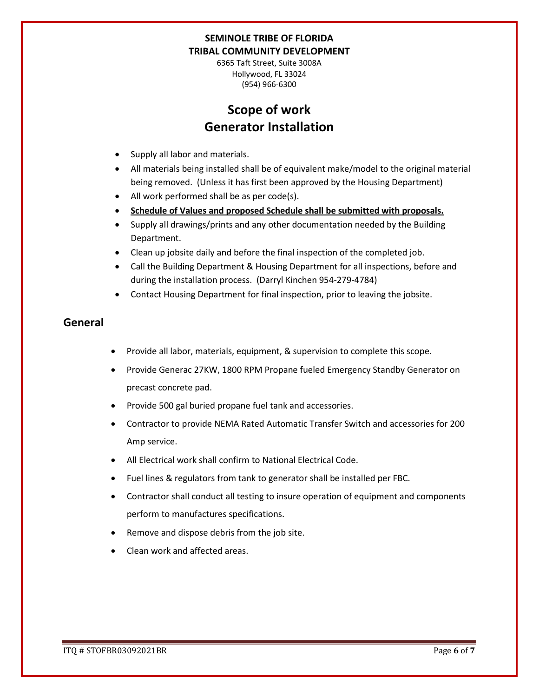6365 Taft Street, Suite 3008A Hollywood, FL 33024 (954) 966-6300

# **Scope of work Generator Installation**

- Supply all labor and materials.
- All materials being installed shall be of equivalent make/model to the original material being removed. (Unless it has first been approved by the Housing Department)
- All work performed shall be as per code(s).
- **Schedule of Values and proposed Schedule shall be submitted with proposals.**
- Supply all drawings/prints and any other documentation needed by the Building Department.
- Clean up jobsite daily and before the final inspection of the completed job.
- Call the Building Department & Housing Department for all inspections, before and during the installation process. (Darryl Kinchen 954-279-4784)
- Contact Housing Department for final inspection, prior to leaving the jobsite.

## **General**

- Provide all labor, materials, equipment, & supervision to complete this scope.
- Provide Generac 27KW, 1800 RPM Propane fueled Emergency Standby Generator on precast concrete pad.
- Provide 500 gal buried propane fuel tank and accessories.
- Contractor to provide NEMA Rated Automatic Transfer Switch and accessories for 200 Amp service.
- All Electrical work shall confirm to National Electrical Code.
- Fuel lines & regulators from tank to generator shall be installed per FBC.
- Contractor shall conduct all testing to insure operation of equipment and components perform to manufactures specifications.
- Remove and dispose debris from the job site.
- Clean work and affected areas.